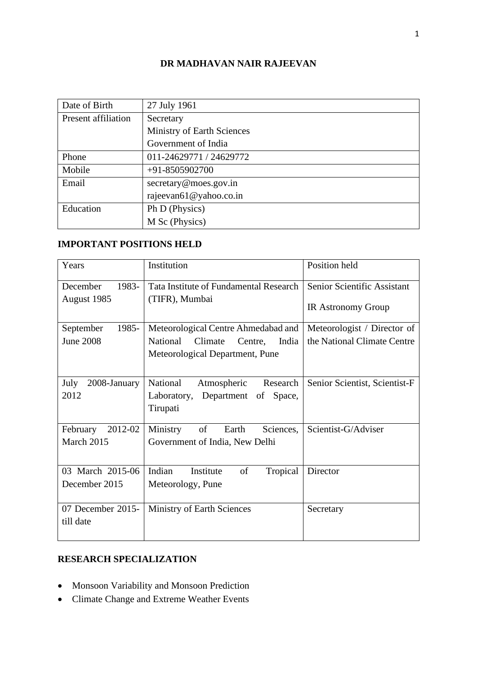### **DR MADHAVAN NAIR RAJEEVAN**

| Date of Birth       | 27 July 1961                      |  |  |  |  |
|---------------------|-----------------------------------|--|--|--|--|
| Present affiliation | Secretary                         |  |  |  |  |
|                     | <b>Ministry of Earth Sciences</b> |  |  |  |  |
|                     | Government of India               |  |  |  |  |
| Phone               | 011-24629771 / 24629772           |  |  |  |  |
| Mobile              | $+91 - 8505902700$                |  |  |  |  |
| Email               | secretary@moes.gov.in             |  |  |  |  |
|                     | rajeevan61@yahoo.co.in            |  |  |  |  |
| Education           | Ph D (Physics)                    |  |  |  |  |
|                     | M Sc (Physics)                    |  |  |  |  |

# **IMPORTANT POSITIONS HELD**

| Years                | Institution                             | Position held                 |
|----------------------|-----------------------------------------|-------------------------------|
| December<br>1983-    | Tata Institute of Fundamental Research  | Senior Scientific Assistant   |
| August 1985          | (TIFR), Mumbai                          | <b>IR Astronomy Group</b>     |
| September<br>1985-   | Meteorological Centre Ahmedabad and     | Meteorologist / Director of   |
| <b>June 2008</b>     | National<br>Climate<br>Centre,<br>India | the National Climate Centre   |
|                      | Meteorological Department, Pune         |                               |
| 2008-January<br>July | National<br>Research<br>Atmospheric     | Senior Scientist, Scientist-F |
| 2012                 | Laboratory, Department of<br>Space,     |                               |
|                      | Tirupati                                |                               |
| 2012-02<br>February  | Ministry<br>of<br>Earth<br>Sciences,    | Scientist-G/Adviser           |
| March 2015           | Government of India, New Delhi          |                               |
| 03 March 2015-06     | Indian<br>of<br>Tropical<br>Institute   | Director                      |
| December 2015        | Meteorology, Pune                       |                               |
| 07 December 2015-    | <b>Ministry of Earth Sciences</b>       | Secretary                     |
| till date            |                                         |                               |
|                      |                                         |                               |

# **RESEARCH SPECIALIZATION**

- Monsoon Variability and Monsoon Prediction
- Climate Change and Extreme Weather Events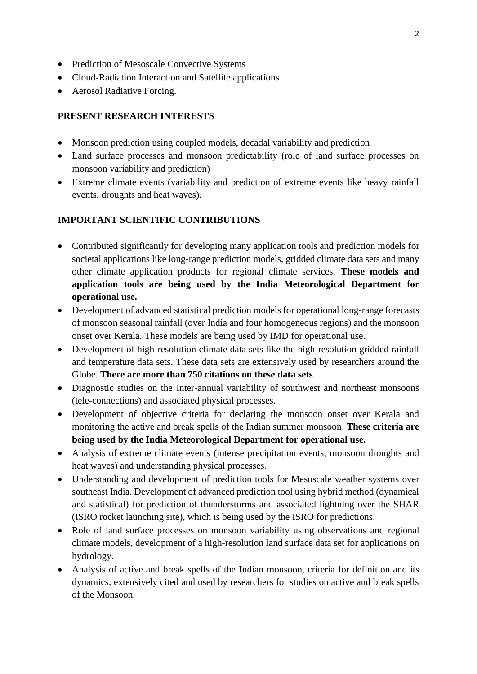- Prediction of Mesoscale Convective Systems
- Cloud-Radiation Interaction and Satellite applications
- Aerosol Radiative Forcing.

#### **PRESENT RESEARCH INTERESTS**

- Monsoon prediction using coupled models, decadal variability and prediction
- Land surface processes and monsoon predictability (role of land surface processes on monsoon variability and prediction)
- Extreme climate events (variability and prediction of extreme events like heavy rainfall events, droughts and heat waves).

#### **IMPORTANT SCIENTIFIC CONTRIBUTIONS**

- Contributed significantly for developing many application tools and prediction models for societal applications like long-range prediction models, gridded climate data sets and many other climate application products for regional climate services. **These models and application tools are being used by the India Meteorological Department for operational use.**
- Development of advanced statistical prediction models for operational long-range forecasts of monsoon seasonal rainfall (over India and four homogeneous regions) and the monsoon onset over Kerala. These models are being used by IMD for operational use.
- Development of high-resolution climate data sets like the high-resolution gridded rainfall and temperature data sets. These data sets are extensively used by researchers around the Globe. **There are more than 750 citations on these data sets**.
- Diagnostic studies on the Inter-annual variability of southwest and northeast monsoons (tele-connections) and associated physical processes.
- Development of objective criteria for declaring the monsoon onset over Kerala and monitoring the active and break spells of the Indian summer monsoon. **These criteria are being used by the India Meteorological Department for operational use.**
- Analysis of extreme climate events (intense precipitation events, monsoon droughts and heat waves) and understanding physical processes.
- Understanding and development of prediction tools for Mesoscale weather systems over southeast India. Development of advanced prediction tool using hybrid method (dynamical and statistical) for prediction of thunderstorms and associated lightning over the SHAR (ISRO rocket launching site), which is being used by the ISRO for predictions.
- Role of land surface processes on monsoon variability using observations and regional climate models, development of a high-resolution land surface data set for applications on hydrology.
- Analysis of active and break spells of the Indian monsoon, criteria for definition and its dynamics, extensively cited and used by researchers for studies on active and break spells of the Monsoon.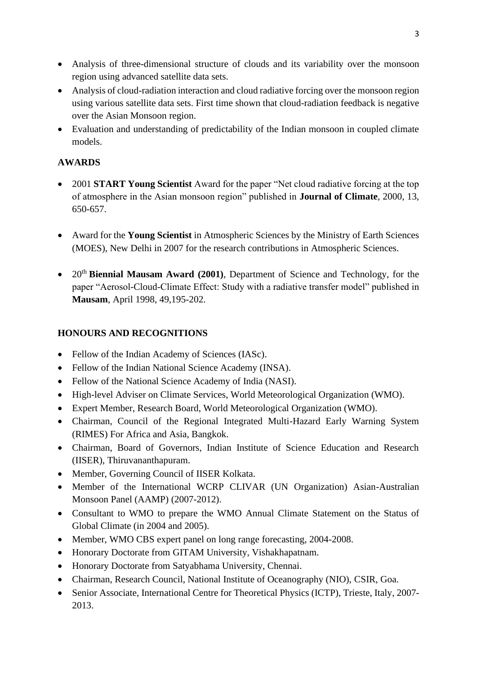- Analysis of three-dimensional structure of clouds and its variability over the monsoon region using advanced satellite data sets.
- Analysis of cloud-radiation interaction and cloud radiative forcing over the monsoon region using various satellite data sets. First time shown that cloud-radiation feedback is negative over the Asian Monsoon region.
- Evaluation and understanding of predictability of the Indian monsoon in coupled climate models.

# **AWARDS**

- 2001 **START Young Scientist** Award for the paper "Net cloud radiative forcing at the top of atmosphere in the Asian monsoon region" published in **Journal of Climate**, 2000, 13, 650-657.
- Award for the **Young Scientist** in Atmospheric Sciences by the Ministry of Earth Sciences (MOES), New Delhi in 2007 for the research contributions in Atmospheric Sciences.
- 20<sup>th</sup> Biennial Mausam Award (2001), Department of Science and Technology, for the paper "Aerosol-Cloud-Climate Effect: Study with a radiative transfer model" published in **Mausam**, April 1998, 49,195-202.

# **HONOURS AND RECOGNITIONS**

- Fellow of the Indian Academy of Sciences (IASc).
- Fellow of the Indian National Science Academy (INSA).
- Fellow of the National Science Academy of India (NASI).
- High-level Adviser on Climate Services, World Meteorological Organization (WMO).
- Expert Member, Research Board, World Meteorological Organization (WMO).
- Chairman, Council of the Regional Integrated Multi-Hazard Early Warning System (RIMES) For Africa and Asia, Bangkok.
- Chairman, Board of Governors, Indian Institute of Science Education and Research (IISER), Thiruvananthapuram.
- Member, Governing Council of IISER Kolkata.
- Member of the International WCRP CLIVAR (UN Organization) Asian-Australian Monsoon Panel (AAMP) (2007-2012).
- Consultant to WMO to prepare the WMO Annual Climate Statement on the Status of Global Climate (in 2004 and 2005).
- Member, WMO CBS expert panel on long range forecasting, 2004-2008.
- Honorary Doctorate from GITAM University, Vishakhapatnam.
- Honorary Doctorate from Satyabhama University, Chennai.
- Chairman, Research Council, National Institute of Oceanography (NIO), CSIR, Goa.
- Senior Associate, International Centre for Theoretical Physics (ICTP), Trieste, Italy, 2007-2013.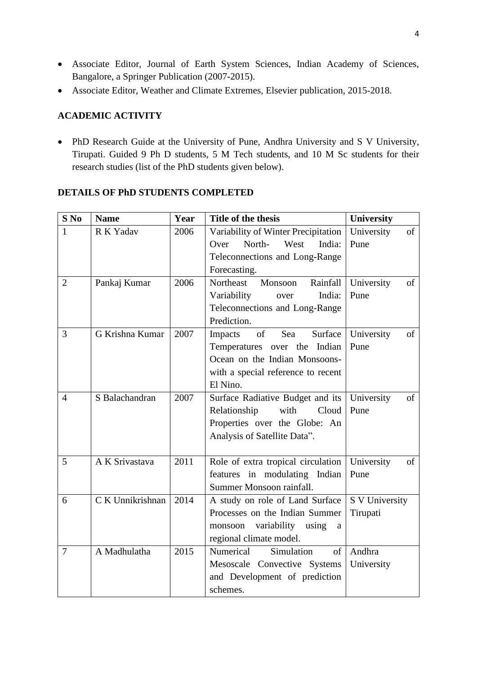- Associate Editor, Journal of Earth System Sciences, Indian Academy of Sciences, Bangalore, a Springer Publication (2007-2015).
- Associate Editor, Weather and Climate Extremes, Elsevier publication, 2015-2018.

# **ACADEMIC ACTIVITY**

• PhD Research Guide at the University of Pune, Andhra University and S V University, Tirupati. Guided 9 Ph D students, 5 M Tech students, and 10 M Sc students for their research studies (list of the PhD students given below).

### **DETAILS OF PhD STUDENTS COMPLETED**

| $S$ No         | <b>Name</b>      | Year | Title of the thesis                                                                                                             | <b>University</b> |
|----------------|------------------|------|---------------------------------------------------------------------------------------------------------------------------------|-------------------|
| 1              | R K Yadav        | 2006 | Variability of Winter Precipitation                                                                                             | of<br>University  |
|                |                  |      | North-<br>West<br>Over<br>India:                                                                                                | Pune              |
|                |                  |      | Teleconnections and Long-Range                                                                                                  |                   |
|                |                  |      | Forecasting.                                                                                                                    |                   |
| $\overline{2}$ | Pankaj Kumar     | 2006 | Rainfall<br>Northeast<br>Monsoon                                                                                                | University<br>of  |
|                |                  |      | Variability<br>India:<br>over                                                                                                   | Pune              |
|                |                  |      | Teleconnections and Long-Range                                                                                                  |                   |
|                |                  |      | Prediction.                                                                                                                     |                   |
| 3              | G Krishna Kumar  | 2007 | $% \left( \left( \mathcal{A},\mathcal{A}\right) \right) =\left( \mathcal{A},\mathcal{A}\right)$ of<br>Surface<br>Sea<br>Impacts | of<br>University  |
|                |                  |      | Temperatures over the Indian                                                                                                    | Pune              |
|                |                  |      | Ocean on the Indian Monsoons-                                                                                                   |                   |
|                |                  |      | with a special reference to recent                                                                                              |                   |
|                |                  |      | El Nino.                                                                                                                        |                   |
| $\overline{4}$ | S Balachandran   | 2007 | Surface Radiative Budget and its                                                                                                | University<br>of  |
|                |                  |      | Relationship<br>with<br>Cloud                                                                                                   | Pune              |
|                |                  |      | Properties over the Globe: An                                                                                                   |                   |
|                |                  |      | Analysis of Satellite Data".                                                                                                    |                   |
|                |                  |      |                                                                                                                                 |                   |
| 5              | A K Srivastava   | 2011 | Role of extra tropical circulation                                                                                              | University<br>of  |
|                |                  |      | features in modulating Indian                                                                                                   | Pune              |
|                |                  |      | Summer Monsoon rainfall.                                                                                                        |                   |
| 6              | C K Unnikrishnan | 2014 | A study on role of Land Surface                                                                                                 | S V University    |
|                |                  |      | Processes on the Indian Summer                                                                                                  | Tirupati          |
|                |                  |      | variability using<br>monsoon<br>a                                                                                               |                   |
|                |                  |      | regional climate model.                                                                                                         |                   |
| $\overline{7}$ | A Madhulatha     | 2015 | Numerical<br>Simulation<br>$\sigma$ f                                                                                           | Andhra            |
|                |                  |      | Mesoscale Convective Systems                                                                                                    | University        |
|                |                  |      | and Development of prediction                                                                                                   |                   |
|                |                  |      | schemes.                                                                                                                        |                   |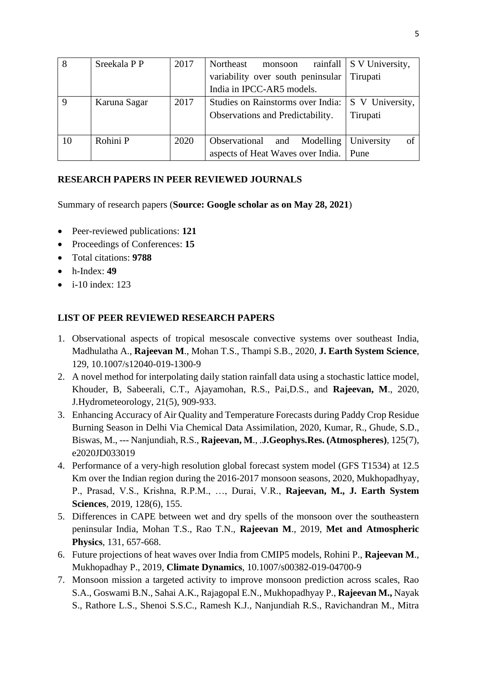| 8  | Sreekala P P | 2017 | Northeast<br>monsoon              | rainfall   S V University, |
|----|--------------|------|-----------------------------------|----------------------------|
|    |              |      | variability over south peninsular | Tirupati                   |
|    |              |      | India in IPCC-AR5 models.         |                            |
| 9  | Karuna Sagar | 2017 | Studies on Rainstorms over India: | S V University,            |
|    |              |      | Observations and Predictability.  | Tirupati                   |
|    |              |      |                                   |                            |
| 10 | Rohini P     | 2020 | Modelling<br>Observational<br>and | $\alpha$ f<br>University   |
|    |              |      | aspects of Heat Waves over India. | Pune                       |

### **RESEARCH PAPERS IN PEER REVIEWED JOURNALS**

Summary of research papers (**Source: Google scholar as on May 28, 2021**)

- Peer-reviewed publications: **121**
- Proceedings of Conferences: **15**
- Total citations: **9788**
- h-Index: **49**
- $\bullet$  i-10 index: 123

### **LIST OF PEER REVIEWED RESEARCH PAPERS**

- 1. Observational aspects of tropical mesoscale convective systems over southeast India, Madhulatha A., **Rajeevan M**., Mohan T.S., Thampi S.B., 2020, **J. Earth System Science**, 129, 10.1007/s12040-019-1300-9
- 2. A novel method for interpolating daily station rainfall data using a stochastic lattice model, Khouder, B, Sabeerali, C.T., Ajayamohan, R.S., Pai,D.S., and **Rajeevan, M**., 2020, J.Hydrometeorology, 21(5), 909-933.
- 3. Enhancing Accuracy of Air Quality and Temperature Forecasts during Paddy Crop Residue Burning Season in Delhi Via Chemical Data Assimilation, 2020, Kumar, R., Ghude, S.D., Biswas, M., --- Nanjundiah, R.S., **Rajeevan, M**., .**J.Geophys.Res. (Atmospheres)**, 125(7), e2020JD033019
- 4. Performance of a very-high resolution global forecast system model (GFS T1534) at 12.5 Km over the Indian region during the 2016-2017 monsoon seasons, 2020, Mukhopadhyay, P., Prasad, V.S., Krishna, R.P.M., …, Durai, V.R., **Rajeevan, M., J. Earth System Sciences**, 2019, 128(6), 155.
- 5. Differences in CAPE between wet and dry spells of the monsoon over the southeastern peninsular India, Mohan T.S., Rao T.N., **Rajeevan M**., 2019, **Met and Atmospheric Physics**, 131, 657-668.
- 6. Future projections of heat waves over India from CMIP5 models, Rohini P., **Rajeevan M**., Mukhopadhay P., 2019, **Climate Dynamics**, 10.1007/s00382-019-04700-9
- 7. Monsoon mission a targeted activity to improve monsoon prediction across scales, Rao S.A., Goswami B.N., Sahai A.K., Rajagopal E.N., Mukhopadhyay P., **Rajeevan M.,** Nayak S., Rathore L.S., Shenoi S.S.C., Ramesh K.J., Nanjundiah R.S., Ravichandran M., Mitra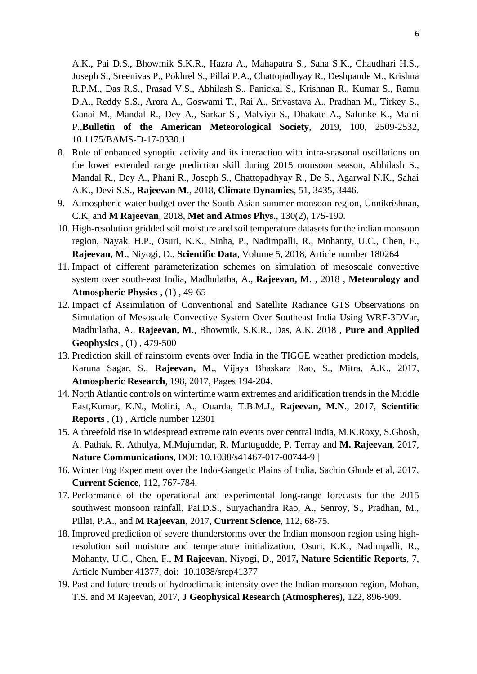A.K., Pai D.S., Bhowmik S.K.R., Hazra A., Mahapatra S., Saha S.K., Chaudhari H.S., Joseph S., Sreenivas P., Pokhrel S., Pillai P.A., Chattopadhyay R., Deshpande M., Krishna R.P.M., Das R.S., Prasad V.S., Abhilash S., Panickal S., Krishnan R., Kumar S., Ramu D.A., Reddy S.S., Arora A., Goswami T., Rai A., Srivastava A., Pradhan M., Tirkey S., Ganai M., Mandal R., Dey A., Sarkar S., Malviya S., Dhakate A., Salunke K., Maini P.,**Bulletin of the American Meteorological Society**, 2019, 100, 2509-2532, 10.1175/BAMS-D-17-0330.1

- 8. Role of enhanced synoptic activity and its interaction with intra-seasonal oscillations on the lower extended range prediction skill during 2015 monsoon season, Abhilash S., Mandal R., Dey A., Phani R., Joseph S., Chattopadhyay R., De S., Agarwal N.K., Sahai A.K., Devi S.S., **Rajeevan M**., 2018, **Climate Dynamics**, 51, 3435, 3446.
- 9. [Atmospheric water budget over the South Asian summer monsoon region,](https://www.scopus.com/record/display.uri?eid=2-s2.0-85013074572&origin=resultslist&sort=plf-f&src=s&sid=613104c03a1bb166d8be4fcc7b1b95ae&sot=autdocs&sdt=autdocs&sl=17&s=AU-ID%287004202450%29&relpos=5&citeCnt=1&searchTerm=) Unnikrishnan, C.K, and **M Rajeevan**, 2018, **Met and Atmos Phys**., 130(2), 175-190.
- 10. High-resolution gridded soil moisture and soil temperature datasets for the indian monsoon region, [Nayak, H.P.,](https://www.scopus.com/authid/detail.uri?origin=resultslist&authorId=56257801600&zone=) [Osuri, K.K.,](https://www.scopus.com/authid/detail.uri?origin=resultslist&authorId=35768178600&zone=) [Sinha, P.,](https://www.scopus.com/authid/detail.uri?origin=resultslist&authorId=35350641800&zone=) [Nadimpalli, R.,](https://www.scopus.com/authid/detail.uri?origin=resultslist&authorId=57053165400&zone=) [Mohanty, U.C.,](https://www.scopus.com/authid/detail.uri?origin=resultslist&authorId=7006069664&zone=) [Chen, F.,](https://www.scopus.com/authid/detail.uri?origin=resultslist&authorId=55490500300&zone=) **[Rajeevan, M.](https://www.scopus.com/authid/detail.uri?origin=resultslist&authorId=7004202450&zone=)**, [Niyogi, D.,](https://www.scopus.com/authid/detail.uri?origin=resultslist&authorId=7004949500&zone=) **Scientific Data**, Volume 5, 2018, Article number 180264
- 11. Impact of different parameterization schemes on simulation of mesoscale convective system over south-east India, [Madhulatha, A.,](https://www.scopus.com/authid/detail.uri?origin=resultslist&authorId=55201426900&zone=) **[Rajeevan, M](https://www.scopus.com/authid/detail.uri?origin=resultslist&authorId=7004202450&zone=)**. , 2018 , **Meteorology and Atmospheric Physics** , (1) , 49-65
- 12. Impact of Assimilation of Conventional and Satellite Radiance GTS Observations on Simulation of Mesoscale Convective System Over Southeast India Using WRF-3DVar, [Madhulatha, A.,](https://www.scopus.com/authid/detail.uri?origin=resultslist&authorId=55201426900&zone=) **[Rajeevan, M](https://www.scopus.com/authid/detail.uri?origin=resultslist&authorId=7004202450&zone=)**., [Bhowmik, S.K.R.,](https://www.scopus.com/authid/detail.uri?origin=resultslist&authorId=8229909000&zone=) [Das, A.K.](https://www.scopus.com/authid/detail.uri?origin=resultslist&authorId=57194599623&zone=) 2018 , **Pure and Applied Geophysics** , (1) , 479-500
- 13. Prediction skill of rainstorm events over India in the TIGGE weather prediction models, [Karuna Sagar, S.,](https://www.scopus.com/authid/detail.uri?origin=resultslist&authorId=57191877849&zone=) **[Rajeevan, M.](https://www.scopus.com/authid/detail.uri?origin=resultslist&authorId=7004202450&zone=)**, [Vijaya Bhaskara Rao, S.,](https://www.scopus.com/authid/detail.uri?origin=resultslist&authorId=6507987897&zone=) [Mitra, A.K.,](https://www.scopus.com/authid/detail.uri?origin=resultslist&authorId=24554420100&zone=) 2017, **Atmospheric Research**, 198, 2017, Pages 194-204.
- 14. North Atlantic controls on wintertime warm extremes and aridification trends in the Middle East[,Kumar, K.N.,](https://www.scopus.com/authid/detail.uri?origin=resultslist&authorId=56532987400&zone=) [Molini, A.,](https://www.scopus.com/authid/detail.uri?origin=resultslist&authorId=6602949984&zone=) [Ouarda, T.B.M.J.,](https://www.scopus.com/authid/detail.uri?origin=resultslist&authorId=7003681763&zone=) **[Rajeevan, M.N](https://www.scopus.com/authid/detail.uri?origin=resultslist&authorId=7004202450&zone=)**., 2017, **Scientific Reports** , (1) , Article number 12301
- 15. A threefold rise in widespread extreme rain events over central India, M.K.Roxy, S.Ghosh, A. Pathak, R. Athulya, M.Mujumdar, R. Murtugudde, P. Terray and **M. Rajeevan**, 2017, **Nature Communications**, DOI: 10.1038/s41467-017-00744-9 |
- 16. Winter Fog Experiment over the Indo-Gangetic Plains of India, Sachin Ghude et al, 2017, **Current Science**, 112, 767-784.
- 17. Performance of the operational and experimental long-range forecasts for the 2015 southwest monsoon rainfall, Pai.D.S., Suryachandra Rao, A., Senroy, S., Pradhan, M., Pillai, P.A., and **M Rajeevan**, 2017, **Current Science**, 112, 68-75.
- 18. Improved prediction of severe thunderstorms over the Indian monsoon region using highresolution soil moisture and temperature initialization, Osuri, K.K., Nadimpalli, R., Mohanty, U.C., Chen, F., **M Rajeevan**, Niyogi, D., 2017**, Nature Scientific Reports**, 7, Article Number 41377, doi: [10.1038/srep41377](https://dx.doi.org/10.1038%2Fsrep41377)
- 19. Past and future trends of hydroclimatic intensity over the Indian monsoon region, Mohan, T.S. and M Rajeevan, 2017, **J Geophysical Research (Atmospheres),** 122, 896-909.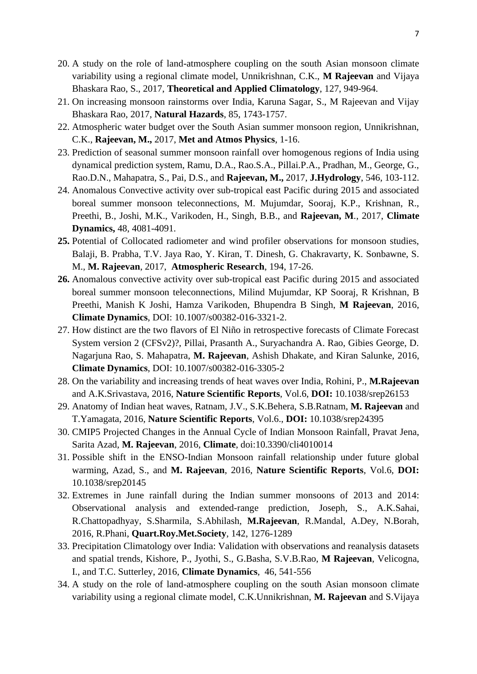- 20. A study on the role of land-atmosphere coupling on the south Asian monsoon climate variability using a regional climate model, Unnikrishnan, C.K., **M Rajeevan** and Vijaya Bhaskara Rao, S., 2017, **Theoretical and Applied Climatology**, 127, 949-964.
- 21. On increasing monsoon rainstorms over India, Karuna Sagar, S., M Rajeevan and Vijay Bhaskara Rao, 2017, **Natural Hazards**, 85, 1743-1757.
- 22. Atmospheric water budget over the South Asian summer monsoon region, Unnikrishnan, C.K., **Rajeevan, M.,** 2017, **Met and Atmos Physics**, 1-16.
- 23. Prediction of seasonal summer monsoon rainfall over homogenous regions of India using dynamical prediction system, Ramu, D.A., Rao.S.A., Pillai.P.A., Pradhan, M., George, G., Rao.D.N., Mahapatra, S., Pai, D.S., and **Rajeevan, M.,** 2017, **J.Hydrology**, 546, 103-112.
- 24. Anomalous Convective activity over sub-tropical east Pacific during 2015 and associated boreal summer monsoon teleconnections, M. Mujumdar, Sooraj, K.P., Krishnan, R., Preethi, B., Joshi, M.K., Varikoden, H., Singh, B.B., and **Rajeevan, M**., 2017, **Climate Dynamics,** 48, 4081-4091.
- **25.** Potential of Collocated radiometer and wind profiler observations for monsoon studies, [Balaji, B.](https://www.scopus.com/authid/detail.uri?authorId=57190682788&origin=resultslist&zone=contextBox) [Prabha, T.V.](https://www.scopus.com/authid/detail.uri?authorId=6701490531&origin=resultslist&zone=contextBox) [Jaya Rao, Y.](https://www.scopus.com/authid/detail.uri?authorId=6506180695&origin=resultslist&zone=contextBox) [Kiran, T.](https://www.scopus.com/authid/detail.uri?authorId=57194052758&origin=resultslist&zone=contextBox) [Dinesh, G.](https://www.scopus.com/authid/detail.uri?authorId=57194058082&origin=resultslist&zone=contextBox) [Chakravarty, K.](https://www.scopus.com/authid/detail.uri?authorId=35147687500&origin=resultslist&zone=contextBox) [Sonbawne, S.](https://www.scopus.com/authid/detail.uri?authorId=7801642681&origin=resultslist&zone=contextBox)  [M.,](https://www.scopus.com/authid/detail.uri?authorId=7801642681&origin=resultslist&zone=contextBox) **[M. Rajeevan](https://www.scopus.com/authid/detail.uri?authorId=7004202450&origin=resultslist&zone=contextBox)**, 2017, **Atmospheric Research**, 194, 17-26.
- **26.** [Anomalous convective activity over sub-tropical east Pacific during 2015 and associated](http://link.springer.com/article/10.1007/s00382-016-3321-2)  [boreal summer monsoon teleconnections,](http://link.springer.com/article/10.1007/s00382-016-3321-2) Milind Mujumdar, KP Sooraj, R Krishnan, B Preethi, Manish K Joshi, Hamza Varikoden, Bhupendra B Singh, **M Rajeevan**, 2016, **Climate Dynamics**, DOI: 10.1007/s00382-016-3321-2.
- 27. How distinct are the two flavors of El Niño in retrospective forecasts of Climate Forecast System version 2 (CFSv2)?, Pillai, Prasanth A., Suryachandra A. Rao, Gibies George, D. Nagarjuna Rao, S. Mahapatra, **M. Rajeevan**, Ashish Dhakate, and Kiran Salunke, 2016, **Climate Dynamics**, DOI: 10.1007/s00382-016-3305-2
- 28. On the variability and increasing trends of heat waves over India, Rohini, P., **M.Rajeevan** and A.K.Srivastava, 2016, **Nature Scientific Reports**, Vol.6, **DOI:** 10.1038/srep26153
- 29. Anatomy of Indian heat waves, Ratnam, J.V., S.K.Behera, S.B.Ratnam, **M. Rajeevan** and T.Yamagata, 2016, **Nature Scientific Reports**, Vol.6., **DOI:** 10.1038/srep24395
- 30. [CMIP5 Projected Changes in the Annual Cycle of Indian Monsoon](http://www.mdpi.com/2225-1154/4/1/14/htm) Rainfall, Pravat Jena, Sarita Azad, **M. Rajeevan**, 2016, **Climate**, doi[:10.3390/cli4010014](http://dx.doi.org/10.3390/cli4010014)
- 31. Possible shift in the ENSO-Indian Monsoon rainfall relationship under future global warming, Azad, S., and **M. Rajeevan**, 2016, **Nature Scientific Reports**, Vol.6, **DOI:**  10.1038/srep20145
- 32. Extremes in June rainfall during the Indian summer monsoons of 2013 and 2014: Observational analysis and extended-range prediction, Joseph, S., A.K.Sahai, R.Chattopadhyay, S.Sharmila, S.Abhilash, **M.Rajeevan**, R.Mandal, A.Dey, N.Borah, 2016, R.Phani, **Quart.Roy.Met.Society**, 142, 1276-1289
- 33. Precipitation Climatology over India: Validation with observations and reanalysis datasets and spatial trends, Kishore, P., Jyothi, S., G.Basha, S.V.B.Rao, **M Rajeevan**, Velicogna, I., and T.C. Sutterley, 2016, **Climate Dynamics**, 46, 541-556
- 34. A study on the role of land-atmosphere coupling on the south Asian monsoon climate variability using a regional climate model, C.K.Unnikrishnan, **M. Rajeevan** and S.Vijaya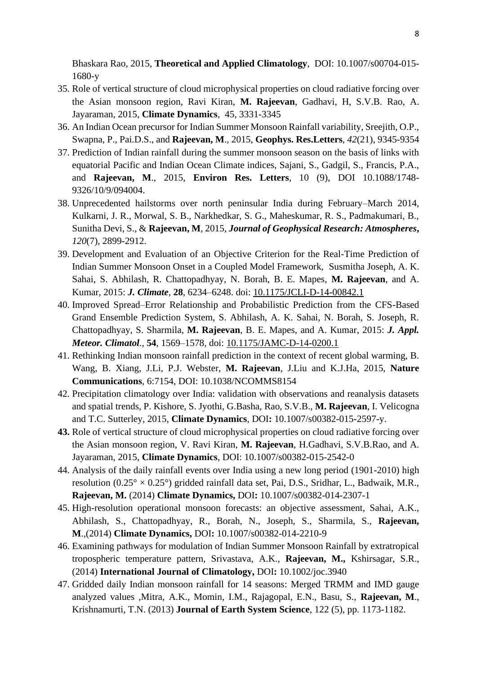Bhaskara Rao, 2015, **Theoretical and Applied Climatology**, DOI: 10.1007/s00704-015- 1680-y

- 35. Role of vertical structure of cloud microphysical properties on cloud radiative forcing over the Asian monsoon region, Ravi Kiran, **M. Rajeevan**, Gadhavi, H, S.V.B. Rao, A. Jayaraman, 2015, **Climate Dynamics**, 45, 3331-3345
- 36. An Indian Ocean precursor for Indian Summer Monsoon Rainfall variability, Sreejith, O.P., Swapna, P., Pai.D.S., and **Rajeevan, M**., 2015, **Geophys. Res.Letters**, *42*(21), 9345-9354
- 37. Prediction of Indian rainfall during the summer monsoon season on the basis of links with equatorial Pacific and Indian Ocean Climate indices, Sajani, S., Gadgil, S., Francis, P.A., and **Rajeevan, M**., 2015, **Environ Res. Letters**, 10 (9), DOI 10.1088/1748- 9326/10/9/094004.
- 38. Unprecedented hailstorms over north peninsular India during February–March 2014, Kulkarni, J. R., Morwal, S. B., Narkhedkar, S. G., Maheskumar, R. S., Padmakumari, B., Sunitha Devi, S., & **Rajeevan, M**, 2015, *Journal of Geophysical Research: Atmospheres***,** *120*(7), 2899-2912.
- 39. Development and Evaluation of an Objective Criterion for the Real-Time Prediction of Indian Summer Monsoon Onset in a Coupled Model Framework, Susmitha Joseph, A. K. Sahai, S. Abhilash, R. Chattopadhyay, N. Borah, B. E. Mapes, **M. Rajeevan**, and A. Kumar, 2015: *J. Climate*, **28**, 6234–6248. doi: [10.1175/JCLI-D-14-00842.1](http://dx.doi.org/10.1175/JCLI-D-14-00842.1)
- 40. Improved Spread–Error Relationship and Probabilistic Prediction from the CFS-Based Grand Ensemble Prediction System, S. Abhilash, A. K. Sahai, N. Borah, S. Joseph, R. Chattopadhyay, S. Sharmila, **M. Rajeevan**, B. E. Mapes, and A. Kumar, 2015: *J. Appl. Meteor. Climatol.*, **54**, 1569–1578, doi: [10.1175/JAMC-D-14-0200.1](http://dx.doi.org/10.1175/JAMC-D-14-0200.1)
- 41. Rethinking Indian monsoon rainfall prediction in the context of recent global warming, B. Wang, B. Xiang, J.Li, P.J. Webster, **M. Rajeevan**, J.Liu and K.J.Ha, 2015, **Nature Communications**, 6:7154, DOI: 10.1038/NCOMMS8154
- 42. Precipitation climatology over India: validation with observations and reanalysis datasets and spatial trends, P. Kishore, S. Jyothi, G.Basha, Rao, S.V.B., **M. Rajeevan**, I. Velicogna and T.C. Sutterley, 2015, **Climate Dynamics**, DOI**:** 10.1007/s00382-015-2597-y.
- **43.** Role of vertical structure of cloud microphysical properties on cloud radiative forcing over the Asian monsoon region, V. Ravi Kiran, **M. Rajeevan**, H.Gadhavi, S.V.B.Rao, and A. Jayaraman, 2015, **Climate Dynamics**, DOI: 10.1007/s00382-015-2542-0
- 44. Analysis of the daily rainfall events over India using a new long period (1901-2010) high resolution  $(0.25^{\circ} \times 0.25^{\circ})$  gridded rainfall data set, Pai, D.S., Sridhar, L., Badwaik, M.R., **Rajeevan, M.** (2014) **Climate Dynamics,** DOI**:** 10.1007/s00382-014-2307-1
- 45. High-resolution operational monsoon forecasts: an objective assessment, Sahai, A.K., Abhilash, S., Chattopadhyay, R., Borah, N., Joseph, S., Sharmila, S., **Rajeevan, M**.,(2014) **Climate Dynamics,** DOI**:** 10.1007/s00382-014-2210-9
- 46. Examining pathways for modulation of Indian Summer Monsoon Rainfall by extratropical tropospheric temperature pattern, Srivastava, A.K., **Rajeevan, M.,** Kshirsagar, S.R., (2014) **International Journal of Climatology,** DOI**:** 10.1002/joc.3940
- 47. Gridded daily Indian monsoon rainfall for 14 seasons: Merged TRMM and IMD gauge analyzed values ,Mitra, A.K., Momin, I.M., Rajagopal, E.N., Basu, S., **Rajeevan, M**., Krishnamurti, T.N. (2013) **Journal of Earth System Science**, 122 (5), pp. 1173-1182.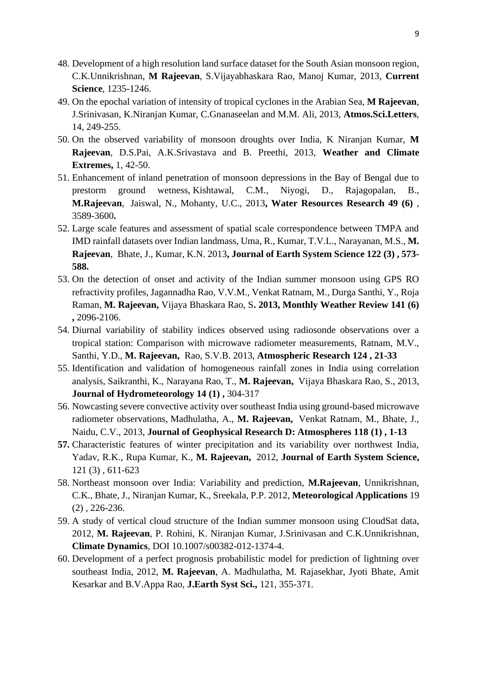- 48. Development of a high resolution land surface dataset for the South Asian monsoon region, C.K.Unnikrishnan, **M Rajeevan**, S.Vijayabhaskara Rao, Manoj Kumar, 2013, **Current Science**, 1235-1246.
- 49. On the epochal variation of intensity of tropical cyclones in the Arabian Sea, **M Rajeevan**, J.Srinivasan, K.Niranjan Kumar, C.Gnanaseelan and M.M. Ali, 2013, **Atmos.Sci.Letters**, 14, 249-255.
- 50. On the observed variability of monsoon droughts over India, K Niranjan Kumar, **M Rajeevan**, D.S.Pai, A.K.Srivastava and B. Preethi, 2013, **Weather and Climate Extremes,** 1, 42-50.
- 51. Enhancement of inland penetration of monsoon depressions in the Bay of Bengal due to prestorm ground wetness, Kishtawal, C.M., Niyogi, D., Rajagopalan, B., **M.Rajeevan**, Jaiswal, N., Mohanty, U.C., 2013**, Water Resources Research 49 (6)** , 3589-3600**.**
- 52. Large scale features and assessment of spatial scale correspondence between TMPA and IMD rainfall datasets over Indian landmass, Uma, R., Kumar, T.V.L., Narayanan, M.S., **M. Rajeevan**, Bhate, J., Kumar, K.N. 2013**, Journal of Earth System Science 122 (3) , 573- 588.**
- 53. On the detection of onset and activity of the Indian summer monsoon using GPS RO refractivity profiles, Jagannadha Rao, V.V.M., Venkat Ratnam, M., Durga Santhi, Y., Roja Raman, **M. Rajeevan,** Vijaya Bhaskara Rao, S**. 2013, Monthly Weather Review 141 (6) ,** 2096-2106.
- 54. Diurnal variability of stability indices observed using radiosonde observations over a tropical station: Comparison with microwave radiometer measurements, Ratnam, M.V., Santhi, Y.D., **M. Rajeevan,** Rao, S.V.B. 2013, **Atmospheric Research 124 , 21-33**
- 55. Identification and validation of homogeneous rainfall zones in India using correlation analysis, Saikranthi, K., Narayana Rao, T., **M. Rajeevan,** Vijaya Bhaskara Rao, S., 2013, **Journal of Hydrometeorology 14 (1) ,** 304-317
- 56. Nowcasting severe convective activity over southeast India using ground-based microwave radiometer observations, Madhulatha, A., **M. Rajeevan,** Venkat Ratnam, M., Bhate, J., Naidu, C.V., 2013, **Journal of Geophysical Research D: Atmospheres 118 (1) , 1-13**
- **57.** Characteristic features of winter precipitation and its variability over northwest India, Yadav, R.K., Rupa Kumar, K., **M. Rajeevan,** 2012, **Journal of Earth System Science,** 121 (3) , 611-623
- 58. Northeast monsoon over India: Variability and prediction, **M.Rajeevan**, Unnikrishnan, C.K., Bhate, J., Niranjan Kumar, K., Sreekala, P.P. 2012, **Meteorological Applications** 19 (2) , 226-236.
- 59. A study of vertical cloud structure of the Indian summer monsoon using CloudSat data, 2012, **M. Rajeevan**, P. Rohini, K. Niranjan Kumar, J.Srinivasan and C.K.Unnikrishnan, **Climate Dynamics**, DOI 10.1007/s00382-012-1374-4.
- 60. Development of a perfect prognosis probabilistic model for prediction of lightning over southeast India, 2012, **M. Rajeevan**, A. Madhulatha, M. Rajasekhar, Jyoti Bhate, Amit Kesarkar and B.V.Appa Rao, **J.Earth Syst Sci.,** 121, 355-371.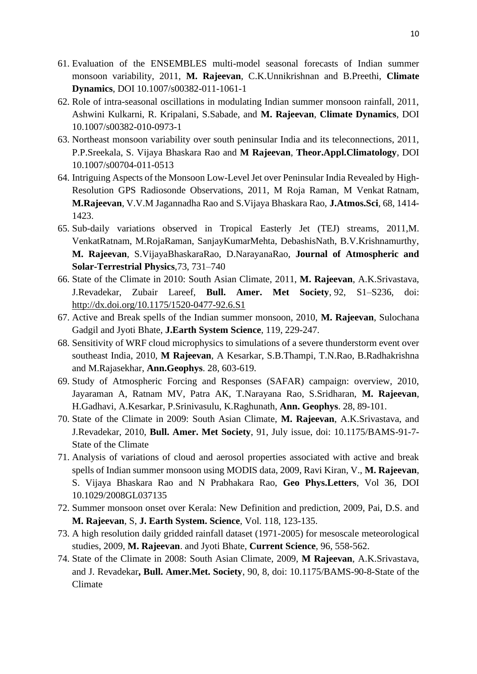- 61. Evaluation of the ENSEMBLES multi-model seasonal forecasts of Indian summer monsoon variability, 2011, **M. Rajeevan**, C.K.Unnikrishnan and B.Preethi, **Climate Dynamics**, DOI 10.1007/s00382-011-1061-1
- 62. Role of intra-seasonal oscillations in modulating Indian summer monsoon rainfall, 2011, Ashwini Kulkarni, R. Kripalani, S.Sabade, and **M. Rajeevan**, **Climate Dynamics**, DOI 10.1007/s00382-010-0973-1
- 63. Northeast monsoon variability over south peninsular India and its teleconnections, 2011, P.P.Sreekala, S. Vijaya Bhaskara Rao and **M Rajeevan**, **Theor.Appl.Climatology**, DOI 10.1007/s00704-011-0513
- 64. Intriguing Aspects of the Monsoon Low-Level Jet over Peninsular India Revealed by High-Resolution GPS Radiosonde Observations, 2011, M Roja Raman, M Venkat Ratnam, **M.Rajeevan**, V.V.M Jagannadha Rao and S.Vijaya Bhaskara Rao, **J.Atmos.Sci**, 68, 1414- 1423.
- 65. Sub-daily variations observed in Tropical Easterly Jet (TEJ) streams, 2011,M. VenkatRatnam, M.RojaRaman, SanjayKumarMehta, DebashisNath, B.V.Krishnamurthy, **M. Rajeevan**, S.VijayaBhaskaraRao, D.NarayanaRao, **Journal of Atmospheric and Solar-Terrestrial Physics**,73, 731–740
- 66. State of the Climate in 2010: South Asian Climate, 2011, **M. Rajeevan**, A.K.Srivastava, J.Revadekar, Zubair Lareef, **Bull. Amer. Met Society**, 92, S1–S236, doi: <http://dx.doi.org/10.1175/1520-0477-92.6.S1>
- 67. Active and Break spells of the Indian summer monsoon, 2010, **M. Rajeevan**, Sulochana Gadgil and Jyoti Bhate, **J.Earth System Science**, 119, 229-247.
- 68. Sensitivity of WRF cloud microphysics to simulations of a severe thunderstorm event over southeast India, 2010, **M Rajeevan**, A Kesarkar, S.B.Thampi, T.N.Rao, B.Radhakrishna and M.Rajasekhar, **Ann.Geophys**. 28, 603-619.
- 69. Study of Atmospheric Forcing and Responses (SAFAR) campaign: overview, 2010, Jayaraman A, Ratnam MV, Patra AK, T.Narayana Rao, S.Sridharan, **M. Rajeevan**, H.Gadhavi, A.Kesarkar, P.Srinivasulu, K.Raghunath, **Ann. Geophys**. 28, 89-101.
- 70. State of the Climate in 2009: South Asian Climate, **M. Rajeevan**, A.K.Srivastava, and J.Revadekar, 2010, **Bull. Amer. Met Society**, 91, July issue, doi: 10.1175/BAMS-91-7- State of the Climate
- 71. Analysis of variations of cloud and aerosol properties associated with active and break spells of Indian summer monsoon using MODIS data, 2009, Ravi Kiran, V., **M. Rajeevan**, S. Vijaya Bhaskara Rao and N Prabhakara Rao, **Geo Phys.Letters**, Vol 36, DOI 10.1029/2008GL037135
- 72. Summer monsoon onset over Kerala: New Definition and prediction, 2009, Pai, D.S. and **M. Rajeevan**, S, **J. Earth System. Science**, Vol. 118, 123-135.
- 73. A high resolution daily gridded rainfall dataset (1971-2005) for mesoscale meteorological studies, 2009, **M. Rajeevan**. and Jyoti Bhate, **Current Science**, 96, 558-562.
- 74. State of the Climate in 2008: South Asian Climate, 2009, **M Rajeevan**, A.K.Srivastava, and J. Revadekar**, Bull. Amer.Met. Society**, 90, 8, doi: 10.1175/BAMS-90-8-State of the Climate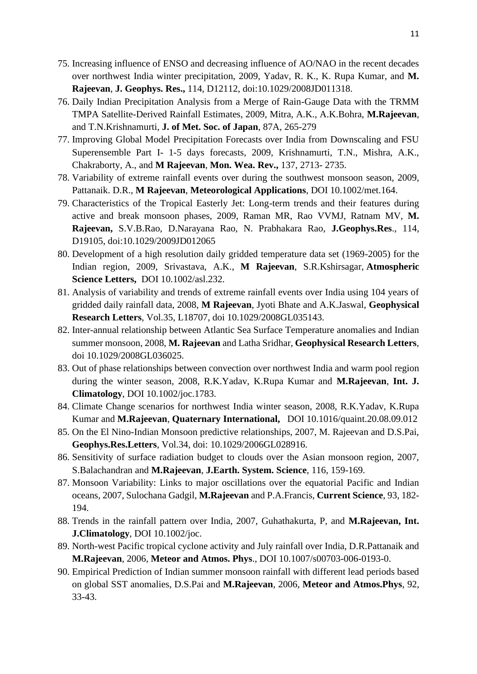- 75. Increasing influence of ENSO and decreasing influence of AO/NAO in the recent decades over northwest India winter precipitation, 2009, Yadav, R. K., K. Rupa Kumar, and **M. Rajeevan**, **J. Geophys. Res.,** 114, D12112, doi:10.1029/2008JD011318.
- 76. Daily Indian Precipitation Analysis from a Merge of Rain-Gauge Data with the TRMM TMPA Satellite-Derived Rainfall Estimates, 2009, Mitra, A.K., A.K.Bohra, **M.Rajeevan**, and T.N.Krishnamurti, **J. of Met. Soc. of Japan**, 87A, 265-279
- 77. Improving Global Model Precipitation Forecasts over India from Downscaling and FSU Superensemble Part I- 1-5 days forecasts, 2009, Krishnamurti, T.N., Mishra, A.K., Chakraborty, A., and **M Rajeevan**, **Mon. Wea. Rev.,** 137, 2713- 2735.
- 78. Variability of extreme rainfall events over during the southwest monsoon season, 2009, Pattanaik. D.R., **M Rajeevan**, **Meteorological Applications**, DOI 10.1002/met.164.
- 79. Characteristics of the Tropical Easterly Jet: Long-term trends and their features during active and break monsoon phases, 2009, Raman MR, Rao VVMJ, Ratnam MV, **M. Rajeevan,** S.V.B.Rao, D.Narayana Rao, N. Prabhakara Rao, **J.Geophys.Res**., 114, D19105, doi:10.1029/2009JD012065
- 80. Development of a high resolution daily gridded temperature data set (1969-2005) for the Indian region, 2009, Srivastava, A.K., **M Rajeevan**, S.R.Kshirsagar, **Atmospheric Science Letters,** DOI 10.1002/asl.232.
- 81. Analysis of variability and trends of extreme rainfall events over India using 104 years of gridded daily rainfall data, 2008, **M Rajeevan**, Jyoti Bhate and A.K.Jaswal, **Geophysical Research Letters**, Vol.35, L18707, doi 10.1029/2008GL035143.
- 82. Inter-annual relationship between Atlantic Sea Surface Temperature anomalies and Indian summer monsoon, 2008, **M. Rajeevan** and Latha Sridhar, **Geophysical Research Letters**, doi 10.1029/2008GL036025.
- 83. Out of phase relationships between convection over northwest India and warm pool region during the winter season, 2008, R.K.Yadav, K.Rupa Kumar and **M.Rajeevan**, **Int. J. Climatology**, DOI 10.1002/joc.1783.
- 84. Climate Change scenarios for northwest India winter season, 2008, R.K.Yadav, K.Rupa Kumar and **M.Rajeevan**, **Quaternary International,** DOI 10.1016/quaint.20.08.09.012
- 85. On the El Nino-Indian Monsoon predictive relationships, 2007, M. Rajeevan and D.S.Pai, **Geophys.Res.Letters**, Vol.34, doi: 10.1029/2006GL028916.
- 86. Sensitivity of surface radiation budget to clouds over the Asian monsoon region, 2007, S.Balachandran and **M.Rajeevan**, **J.Earth. System. Science**, 116, 159-169.
- 87. Monsoon Variability: Links to major oscillations over the equatorial Pacific and Indian oceans, 2007, Sulochana Gadgil, **M.Rajeevan** and P.A.Francis, **Current Science**, 93, 182- 194.
- 88. Trends in the rainfall pattern over India, 2007, Guhathakurta, P, and **M.Rajeevan, Int. J.Climatology**, DOI 10.1002/joc.
- 89. North-west Pacific tropical cyclone activity and July rainfall over India, D.R.Pattanaik and **M.Rajeevan**, 2006, **Meteor and Atmos. Phys**., DOI 10.1007/s00703-006-0193-0.
- 90. Empirical Prediction of Indian summer monsoon rainfall with different lead periods based on global SST anomalies, D.S.Pai and **M.Rajeevan**, 2006, **Meteor and Atmos.Phys**, 92, 33-43.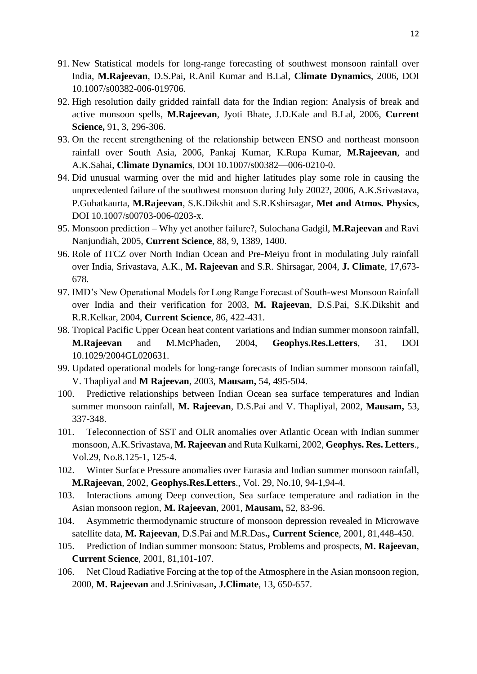- 91. New Statistical models for long-range forecasting of southwest monsoon rainfall over India, **M.Rajeevan**, D.S.Pai, R.Anil Kumar and B.Lal, **Climate Dynamics**, 2006, DOI 10.1007/s00382-006-019706.
- 92. High resolution daily gridded rainfall data for the Indian region: Analysis of break and active monsoon spells, **M.Rajeevan**, Jyoti Bhate, J.D.Kale and B.Lal, 2006, **Current Science,** 91, 3, 296-306.
- 93. On the recent strengthening of the relationship between ENSO and northeast monsoon rainfall over South Asia, 2006, Pankaj Kumar, K.Rupa Kumar, **M.Rajeevan**, and A.K.Sahai, **Climate Dynamics**, DOI 10.1007/s00382—006-0210-0.
- 94. Did unusual warming over the mid and higher latitudes play some role in causing the unprecedented failure of the southwest monsoon during July 2002?, 2006, A.K.Srivastava, P.Guhatkaurta, **M.Rajeevan**, S.K.Dikshit and S.R.Kshirsagar, **Met and Atmos. Physics**, DOI 10.1007/s00703-006-0203-x.
- 95. Monsoon prediction Why yet another failure?, Sulochana Gadgil, **M.Rajeevan** and Ravi Nanjundiah, 2005, **Current Science**, 88, 9, 1389, 1400.
- 96. Role of ITCZ over North Indian Ocean and Pre-Meiyu front in modulating July rainfall over India, Srivastava, A.K., **M. Rajeevan** and S.R. Shirsagar, 2004, **J. Climate**, 17,673- 678.
- 97. IMD's New Operational Models for Long Range Forecast of South-west Monsoon Rainfall over India and their verification for 2003, **M. Rajeevan**, D.S.Pai, S.K.Dikshit and R.R.Kelkar, 2004, **Current Science**, 86, 422-431.
- 98. Tropical Pacific Upper Ocean heat content variations and Indian summer monsoon rainfall, **M.Rajeevan** and M.McPhaden, 2004, **Geophys.Res.Letters**, 31, DOI 10.1029/2004GL020631.
- 99. Updated operational models for long-range forecasts of Indian summer monsoon rainfall, V. Thapliyal and **M Rajeevan**, 2003, **Mausam,** 54, 495-504.
- 100. Predictive relationships between Indian Ocean sea surface temperatures and Indian summer monsoon rainfall, **M. Rajeevan**, D.S.Pai and V. Thapliyal, 2002, **Mausam,** 53, 337-348.
- 101. Teleconnection of SST and OLR anomalies over Atlantic Ocean with Indian summer monsoon, A.K.Srivastava, **M. Rajeevan** and Ruta Kulkarni, 2002, **Geophys. Res. Letters**., Vol.29, No.8.125-1, 125-4.
- 102. Winter Surface Pressure anomalies over Eurasia and Indian summer monsoon rainfall, **M.Rajeevan**, 2002, **Geophys.Res.Letters**., Vol. 29, No.10, 94-1,94-4.
- 103. Interactions among Deep convection, Sea surface temperature and radiation in the Asian monsoon region*,* **M. Rajeevan**, 2001, **Mausam,** 52, 83-96.
- 104. Asymmetric thermodynamic structure of monsoon depression revealed in Microwave satellite data, **M. Rajeevan**, D.S.Pai and M.R.Das**., Current Science**, 2001, 81,448-450.
- 105. Prediction of Indian summer monsoon: Status, Problems and prospects, **M. Rajeevan**, **Current Science**, 2001, 81,101-107.
- 106. Net Cloud Radiative Forcing at the top of the Atmosphere in the Asian monsoon region, 2000, **M. Rajeevan** and J.Srinivasan**, J.Climate**, 13, 650-657.